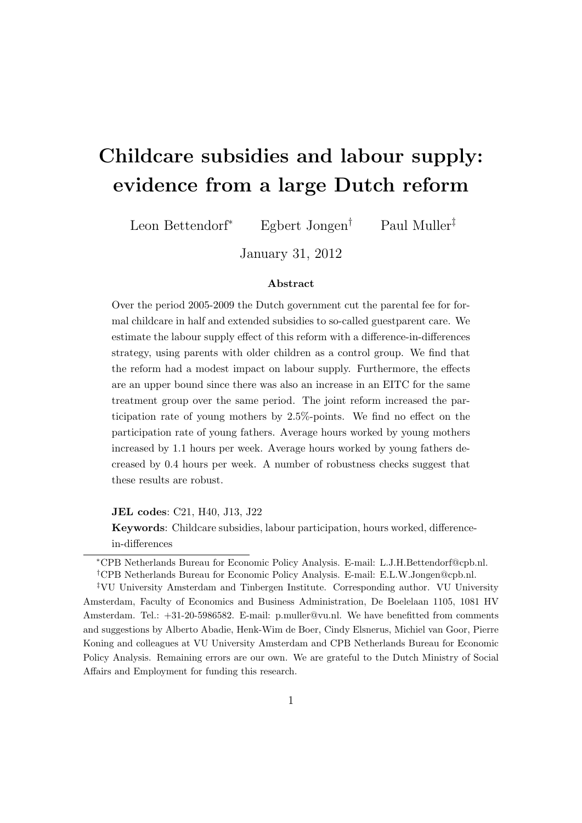# Childcare subsidies and labour supply: evidence from a large Dutch reform

Leon Bettendorf<sup>∗</sup> Egbert Jongen† Paul Muller‡

January 31, 2012

#### Abstract

Over the period 2005-2009 the Dutch government cut the parental fee for formal childcare in half and extended subsidies to so-called guestparent care. We estimate the labour supply effect of this reform with a difference-in-differences strategy, using parents with older children as a control group. We find that the reform had a modest impact on labour supply. Furthermore, the effects are an upper bound since there was also an increase in an EITC for the same treatment group over the same period. The joint reform increased the participation rate of young mothers by 2.5%-points. We find no effect on the participation rate of young fathers. Average hours worked by young mothers increased by 1.1 hours per week. Average hours worked by young fathers decreased by 0.4 hours per week. A number of robustness checks suggest that these results are robust.

JEL codes: C21, H40, J13, J22

Keywords: Childcare subsidies, labour participation, hours worked, differencein-differences

‡VU University Amsterdam and Tinbergen Institute. Corresponding author. VU University Amsterdam, Faculty of Economics and Business Administration, De Boelelaan 1105, 1081 HV Amsterdam. Tel.: +31-20-5986582. E-mail: p.muller@vu.nl. We have benefitted from comments and suggestions by Alberto Abadie, Henk-Wim de Boer, Cindy Elsnerus, Michiel van Goor, Pierre Koning and colleagues at VU University Amsterdam and CPB Netherlands Bureau for Economic Policy Analysis. Remaining errors are our own. We are grateful to the Dutch Ministry of Social Affairs and Employment for funding this research.

<sup>∗</sup>CPB Netherlands Bureau for Economic Policy Analysis. E-mail: L.J.H.Bettendorf@cpb.nl. †CPB Netherlands Bureau for Economic Policy Analysis. E-mail: E.L.W.Jongen@cpb.nl.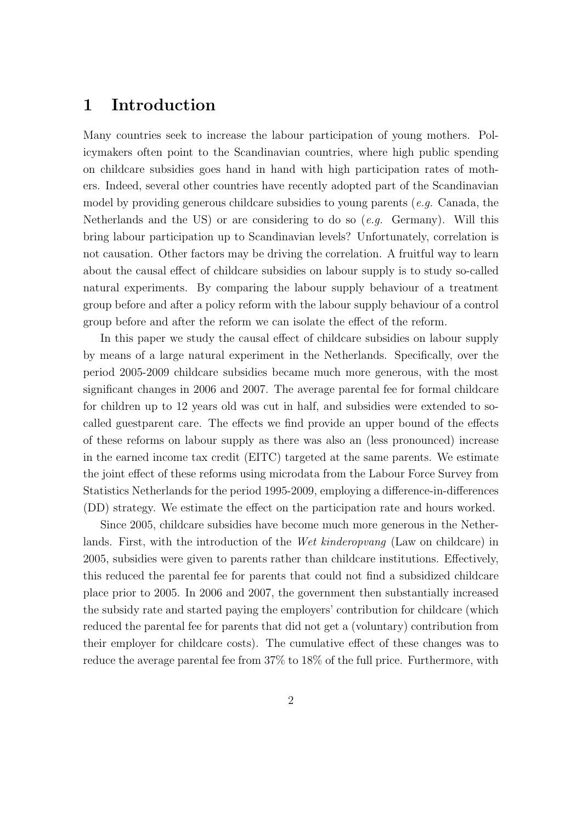# 1 Introduction

Many countries seek to increase the labour participation of young mothers. Policymakers often point to the Scandinavian countries, where high public spending on childcare subsidies goes hand in hand with high participation rates of mothers. Indeed, several other countries have recently adopted part of the Scandinavian model by providing generous childcare subsidies to young parents (e.g. Canada, the Netherlands and the US) or are considering to do so  $(e.q.$  Germany). Will this bring labour participation up to Scandinavian levels? Unfortunately, correlation is not causation. Other factors may be driving the correlation. A fruitful way to learn about the causal effect of childcare subsidies on labour supply is to study so-called natural experiments. By comparing the labour supply behaviour of a treatment group before and after a policy reform with the labour supply behaviour of a control group before and after the reform we can isolate the effect of the reform.

In this paper we study the causal effect of childcare subsidies on labour supply by means of a large natural experiment in the Netherlands. Specifically, over the period 2005-2009 childcare subsidies became much more generous, with the most significant changes in 2006 and 2007. The average parental fee for formal childcare for children up to 12 years old was cut in half, and subsidies were extended to socalled guestparent care. The effects we find provide an upper bound of the effects of these reforms on labour supply as there was also an (less pronounced) increase in the earned income tax credit (EITC) targeted at the same parents. We estimate the joint effect of these reforms using microdata from the Labour Force Survey from Statistics Netherlands for the period 1995-2009, employing a difference-in-differences (DD) strategy. We estimate the effect on the participation rate and hours worked.

Since 2005, childcare subsidies have become much more generous in the Netherlands. First, with the introduction of the *Wet kinderopvang* (Law on childcare) in 2005, subsidies were given to parents rather than childcare institutions. Effectively, this reduced the parental fee for parents that could not find a subsidized childcare place prior to 2005. In 2006 and 2007, the government then substantially increased the subsidy rate and started paying the employers' contribution for childcare (which reduced the parental fee for parents that did not get a (voluntary) contribution from their employer for childcare costs). The cumulative effect of these changes was to reduce the average parental fee from 37% to 18% of the full price. Furthermore, with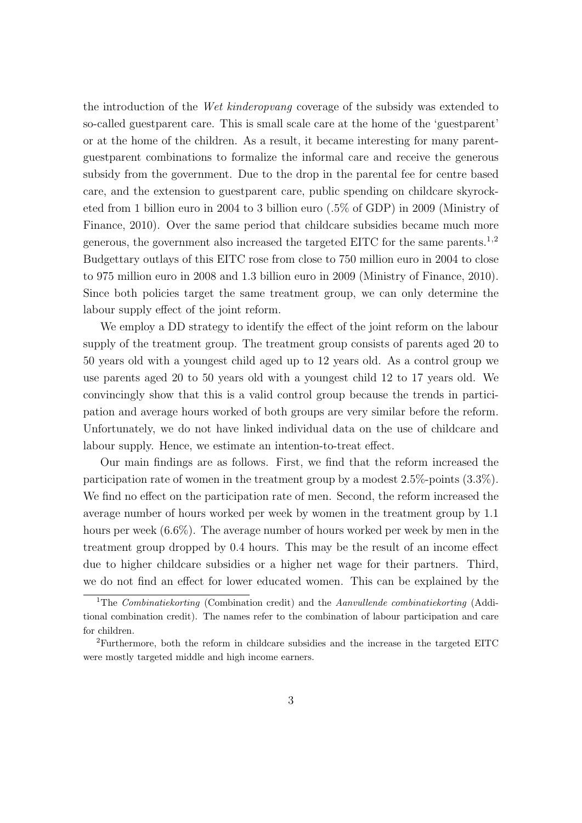the introduction of the *Wet kinderopvang* coverage of the subsidy was extended to so-called guestparent care. This is small scale care at the home of the 'guestparent' or at the home of the children. As a result, it became interesting for many parentguestparent combinations to formalize the informal care and receive the generous subsidy from the government. Due to the drop in the parental fee for centre based care, and the extension to guestparent care, public spending on childcare skyrocketed from 1 billion euro in 2004 to 3 billion euro (.5% of GDP) in 2009 (Ministry of Finance, 2010). Over the same period that childcare subsidies became much more generous, the government also increased the targeted EITC for the same parents.<sup>1,2</sup> Budgettary outlays of this EITC rose from close to 750 million euro in 2004 to close to 975 million euro in 2008 and 1.3 billion euro in 2009 (Ministry of Finance, 2010). Since both policies target the same treatment group, we can only determine the labour supply effect of the joint reform.

We employ a DD strategy to identify the effect of the joint reform on the labour supply of the treatment group. The treatment group consists of parents aged 20 to 50 years old with a youngest child aged up to 12 years old. As a control group we use parents aged 20 to 50 years old with a youngest child 12 to 17 years old. We convincingly show that this is a valid control group because the trends in participation and average hours worked of both groups are very similar before the reform. Unfortunately, we do not have linked individual data on the use of childcare and labour supply. Hence, we estimate an intention-to-treat effect.

Our main findings are as follows. First, we find that the reform increased the participation rate of women in the treatment group by a modest 2.5%-points (3.3%). We find no effect on the participation rate of men. Second, the reform increased the average number of hours worked per week by women in the treatment group by 1.1 hours per week  $(6.6\%)$ . The average number of hours worked per week by men in the treatment group dropped by 0.4 hours. This may be the result of an income effect due to higher childcare subsidies or a higher net wage for their partners. Third, we do not find an effect for lower educated women. This can be explained by the

<sup>&</sup>lt;sup>1</sup>The *Combinatiekorting* (Combination credit) and the *Aanvullende combinatiekorting* (Additional combination credit). The names refer to the combination of labour participation and care for children.

<sup>2</sup>Furthermore, both the reform in childcare subsidies and the increase in the targeted EITC were mostly targeted middle and high income earners.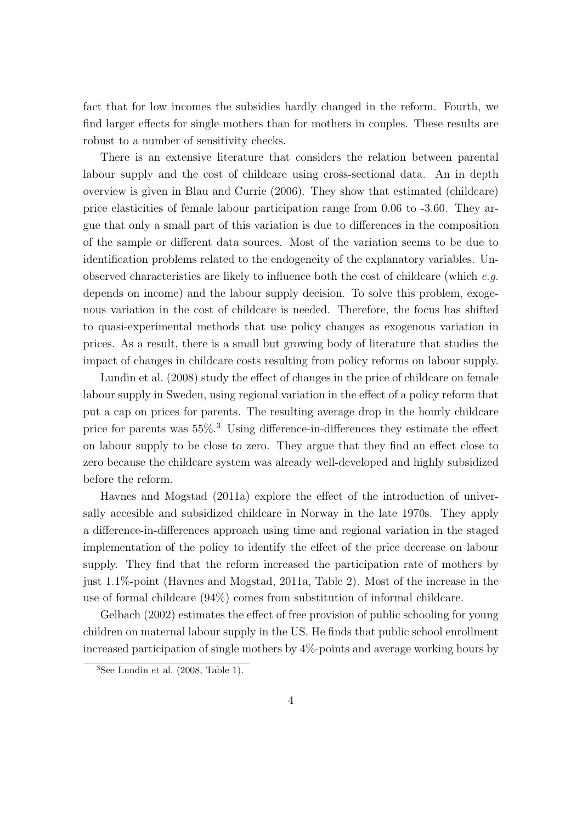fact that for low incomes the subsidies hardly changed in the reform. Fourth, we find larger effects for single mothers than for mothers in couples. These results are robust to a number of sensitivity checks.

There is an extensive literature that considers the relation between parental labour supply and the cost of childcare using cross-sectional data. An in depth overview is given in Blau and Currie (2006). They show that estimated (childcare) price elasticities of female labour participation range from 0.06 to -3.60. They argue that only a small part of this variation is due to differences in the composition of the sample or different data sources. Most of the variation seems to be due to identification problems related to the endogeneity of the explanatory variables. Unobserved characteristics are likely to influence both the cost of childcare (which  $e.g.$ depends on income) and the labour supply decision. To solve this problem, exogenous variation in the cost of childcare is needed. Therefore, the focus has shifted to quasi-experimental methods that use policy changes as exogenous variation in prices. As a result, there is a small but growing body of literature that studies the impact of changes in childcare costs resulting from policy reforms on labour supply.

Lundin et al. (2008) study the effect of changes in the price of childcare on female labour supply in Sweden, using regional variation in the effect of a policy reform that put a cap on prices for parents. The resulting average drop in the hourly childcare price for parents was  $55\%$ <sup>3</sup> Using difference-in-differences they estimate the effect on labour supply to be close to zero. They argue that they find an effect close to zero because the childcare system was already well-developed and highly subsidized before the reform.

Havnes and Mogstad (2011a) explore the effect of the introduction of universally accesible and subsidized childcare in Norway in the late 1970s. They apply a difference-in-differences approach using time and regional variation in the staged implementation of the policy to identify the effect of the price decrease on labour supply. They find that the reform increased the participation rate of mothers by just 1.1%-point (Havnes and Mogstad, 2011a, Table 2). Most of the increase in the use of formal childcare (94%) comes from substitution of informal childcare.

Gelbach (2002) estimates the effect of free provision of public schooling for young children on maternal labour supply in the US. He finds that public school enrollment increased participation of single mothers by 4%-points and average working hours by

 $3$ See Lundin et al.  $(2008, \text{Table 1}).$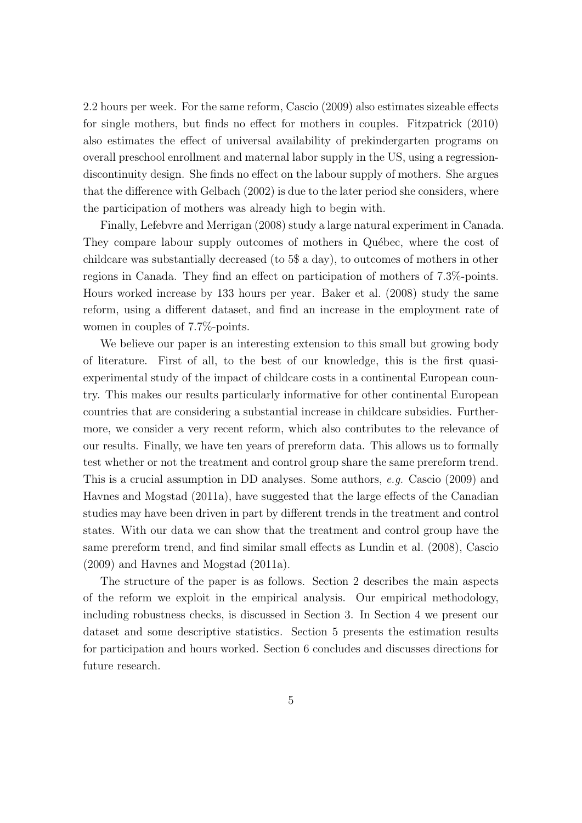2.2 hours per week. For the same reform, Cascio (2009) also estimates sizeable effects for single mothers, but finds no effect for mothers in couples. Fitzpatrick (2010) also estimates the effect of universal availability of prekindergarten programs on overall preschool enrollment and maternal labor supply in the US, using a regressiondiscontinuity design. She finds no effect on the labour supply of mothers. She argues that the difference with Gelbach (2002) is due to the later period she considers, where the participation of mothers was already high to begin with.

Finally, Lefebvre and Merrigan (2008) study a large natural experiment in Canada. They compare labour supply outcomes of mothers in Québec, where the cost of childcare was substantially decreased (to 5\$ a day), to outcomes of mothers in other regions in Canada. They find an effect on participation of mothers of 7.3%-points. Hours worked increase by 133 hours per year. Baker et al. (2008) study the same reform, using a different dataset, and find an increase in the employment rate of women in couples of 7.7%-points.

We believe our paper is an interesting extension to this small but growing body of literature. First of all, to the best of our knowledge, this is the first quasiexperimental study of the impact of childcare costs in a continental European country. This makes our results particularly informative for other continental European countries that are considering a substantial increase in childcare subsidies. Furthermore, we consider a very recent reform, which also contributes to the relevance of our results. Finally, we have ten years of prereform data. This allows us to formally test whether or not the treatment and control group share the same prereform trend. This is a crucial assumption in DD analyses. Some authors, e.g. Cascio (2009) and Havnes and Mogstad (2011a), have suggested that the large effects of the Canadian studies may have been driven in part by different trends in the treatment and control states. With our data we can show that the treatment and control group have the same prereform trend, and find similar small effects as Lundin et al. (2008), Cascio (2009) and Havnes and Mogstad (2011a).

The structure of the paper is as follows. Section 2 describes the main aspects of the reform we exploit in the empirical analysis. Our empirical methodology, including robustness checks, is discussed in Section 3. In Section 4 we present our dataset and some descriptive statistics. Section 5 presents the estimation results for participation and hours worked. Section 6 concludes and discusses directions for future research.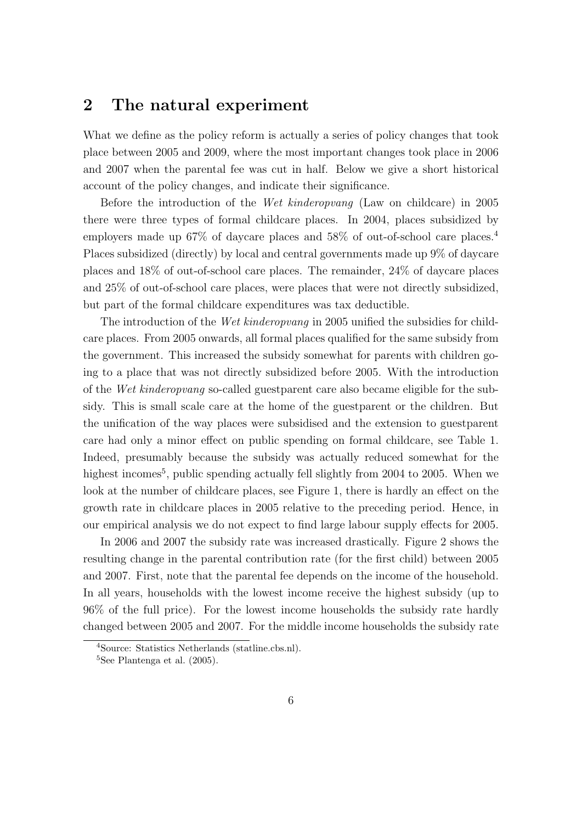# 2 The natural experiment

What we define as the policy reform is actually a series of policy changes that took place between 2005 and 2009, where the most important changes took place in 2006 and 2007 when the parental fee was cut in half. Below we give a short historical account of the policy changes, and indicate their significance.

Before the introduction of the Wet kinderopvang (Law on childcare) in 2005 there were three types of formal childcare places. In 2004, places subsidized by employers made up 67% of daycare places and 58% of out-of-school care places.<sup>4</sup> Places subsidized (directly) by local and central governments made up 9% of daycare places and 18% of out-of-school care places. The remainder, 24% of daycare places and 25% of out-of-school care places, were places that were not directly subsidized, but part of the formal childcare expenditures was tax deductible.

The introduction of the Wet kinderopvang in 2005 unified the subsidies for childcare places. From 2005 onwards, all formal places qualified for the same subsidy from the government. This increased the subsidy somewhat for parents with children going to a place that was not directly subsidized before 2005. With the introduction of the Wet kinderopvang so-called guestparent care also became eligible for the subsidy. This is small scale care at the home of the guestparent or the children. But the unification of the way places were subsidised and the extension to guestparent care had only a minor effect on public spending on formal childcare, see Table 1. Indeed, presumably because the subsidy was actually reduced somewhat for the highest incomes<sup>5</sup>, public spending actually fell slightly from 2004 to 2005. When we look at the number of childcare places, see Figure 1, there is hardly an effect on the growth rate in childcare places in 2005 relative to the preceding period. Hence, in our empirical analysis we do not expect to find large labour supply effects for 2005.

In 2006 and 2007 the subsidy rate was increased drastically. Figure 2 shows the resulting change in the parental contribution rate (for the first child) between 2005 and 2007. First, note that the parental fee depends on the income of the household. In all years, households with the lowest income receive the highest subsidy (up to 96% of the full price). For the lowest income households the subsidy rate hardly changed between 2005 and 2007. For the middle income households the subsidy rate

<sup>4</sup>Source: Statistics Netherlands (statline.cbs.nl).

 ${}^{5}$ See Plantenga et al. (2005).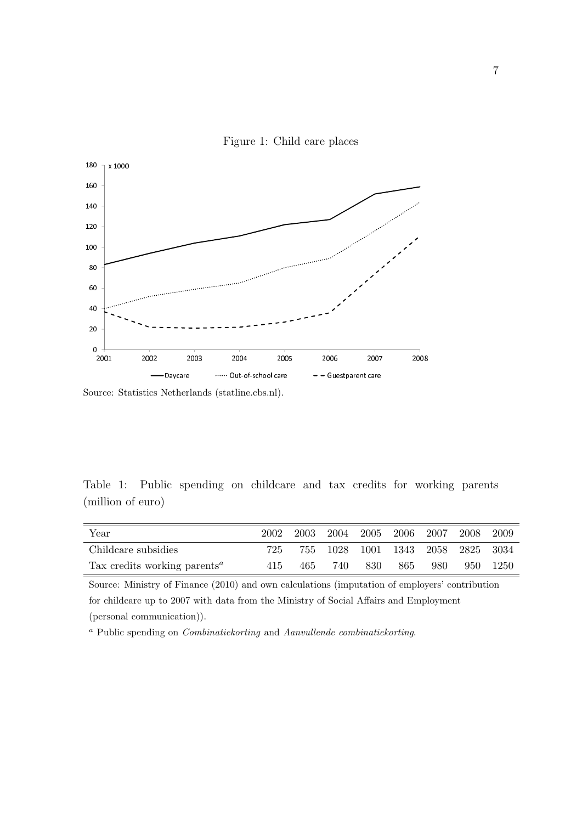

Figure 1: Child care places

Source: Statistics Netherlands (statline.cbs.nl).

Table 1: Public spending on childcare and tax credits for working parents (million of euro)

| Year                                                  | 2002 | 2003 |     | 2004 2005 2006 2007 |      |                                   | -2008 | -2009    |
|-------------------------------------------------------|------|------|-----|---------------------|------|-----------------------------------|-------|----------|
| Childcare subsidies                                   | 725  |      |     |                     |      | 755 1028 1001 1343 2058 2825 3034 |       |          |
| Tax credits working parents <sup><math>a</math></sup> | 415  | 465  | 740 | -830                | -865 | -980                              |       | 950 1250 |

Source: Ministry of Finance (2010) and own calculations (imputation of employers' contribution for childcare up to 2007 with data from the Ministry of Social Affairs and Employment (personal communication)).

<sup>a</sup> Public spending on Combinatiekorting and Aanvullende combinatiekorting.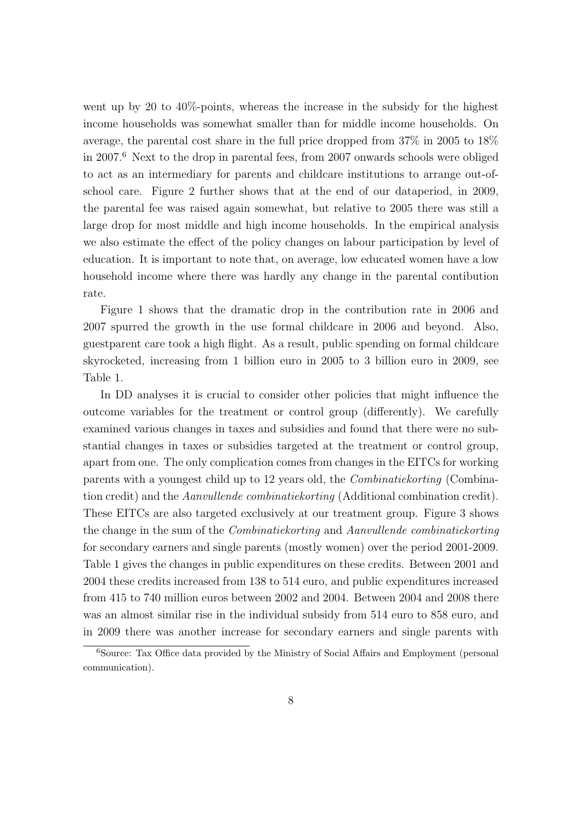went up by 20 to 40%-points, whereas the increase in the subsidy for the highest income households was somewhat smaller than for middle income households. On average, the parental cost share in the full price dropped from 37% in 2005 to 18% in 2007.<sup>6</sup> Next to the drop in parental fees, from 2007 onwards schools were obliged to act as an intermediary for parents and childcare institutions to arrange out-ofschool care. Figure 2 further shows that at the end of our dataperiod, in 2009, the parental fee was raised again somewhat, but relative to 2005 there was still a large drop for most middle and high income households. In the empirical analysis we also estimate the effect of the policy changes on labour participation by level of education. It is important to note that, on average, low educated women have a low household income where there was hardly any change in the parental contibution rate.

Figure 1 shows that the dramatic drop in the contribution rate in 2006 and 2007 spurred the growth in the use formal childcare in 2006 and beyond. Also, guestparent care took a high flight. As a result, public spending on formal childcare skyrocketed, increasing from 1 billion euro in 2005 to 3 billion euro in 2009, see Table 1.

In DD analyses it is crucial to consider other policies that might influence the outcome variables for the treatment or control group (differently). We carefully examined various changes in taxes and subsidies and found that there were no substantial changes in taxes or subsidies targeted at the treatment or control group, apart from one. The only complication comes from changes in the EITCs for working parents with a youngest child up to 12 years old, the Combinatiekorting (Combination credit) and the Aanvullende combinatiekorting (Additional combination credit). These EITCs are also targeted exclusively at our treatment group. Figure 3 shows the change in the sum of the Combinatiekorting and Aanvullende combinatiekorting for secondary earners and single parents (mostly women) over the period 2001-2009. Table 1 gives the changes in public expenditures on these credits. Between 2001 and 2004 these credits increased from 138 to 514 euro, and public expenditures increased from 415 to 740 million euros between 2002 and 2004. Between 2004 and 2008 there was an almost similar rise in the individual subsidy from 514 euro to 858 euro, and in 2009 there was another increase for secondary earners and single parents with

<sup>&</sup>lt;sup>6</sup>Source: Tax Office data provided by the Ministry of Social Affairs and Employment (personal communication).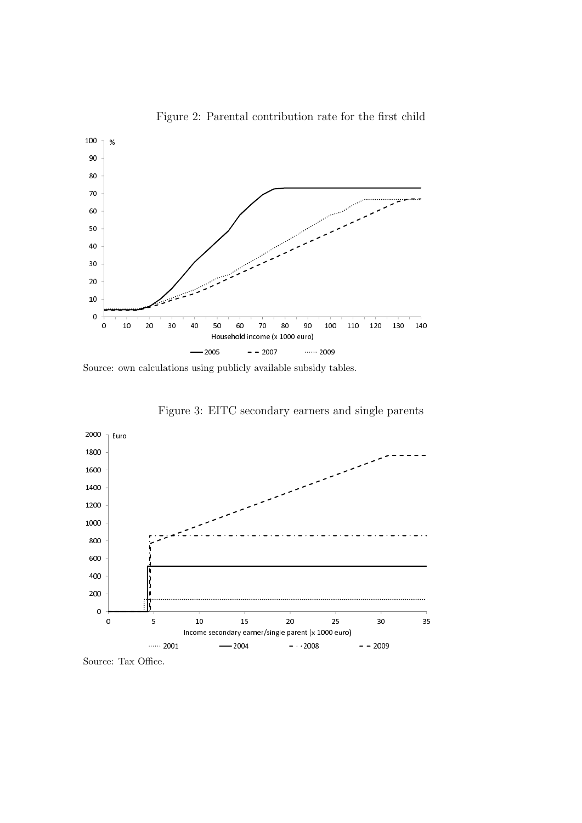

Figure 2: Parental contribution rate for the first child

Source: own calculations using publicly available subsidy tables.





Source: Tax Office.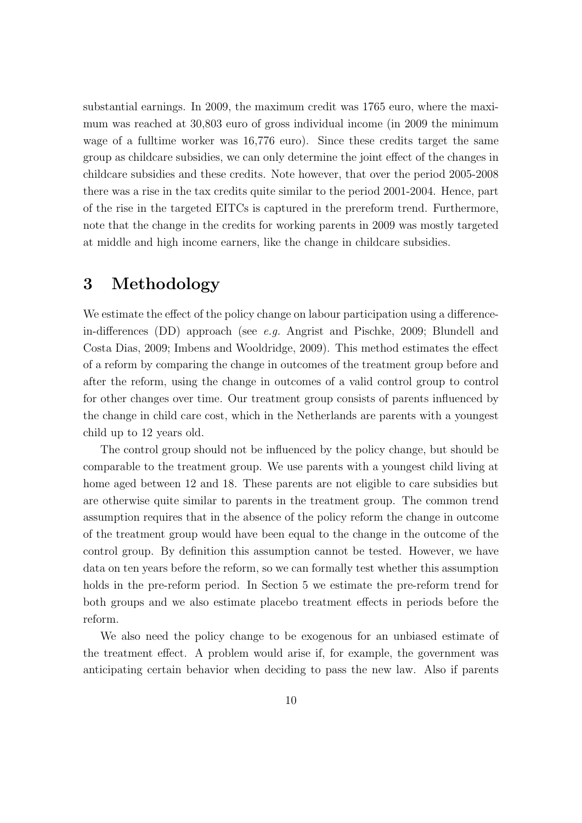substantial earnings. In 2009, the maximum credit was 1765 euro, where the maximum was reached at 30,803 euro of gross individual income (in 2009 the minimum wage of a fulltime worker was 16,776 euro). Since these credits target the same group as childcare subsidies, we can only determine the joint effect of the changes in childcare subsidies and these credits. Note however, that over the period 2005-2008 there was a rise in the tax credits quite similar to the period 2001-2004. Hence, part of the rise in the targeted EITCs is captured in the prereform trend. Furthermore, note that the change in the credits for working parents in 2009 was mostly targeted at middle and high income earners, like the change in childcare subsidies.

# 3 Methodology

We estimate the effect of the policy change on labour participation using a differencein-differences (DD) approach (see e.g. Angrist and Pischke, 2009; Blundell and Costa Dias, 2009; Imbens and Wooldridge, 2009). This method estimates the effect of a reform by comparing the change in outcomes of the treatment group before and after the reform, using the change in outcomes of a valid control group to control for other changes over time. Our treatment group consists of parents influenced by the change in child care cost, which in the Netherlands are parents with a youngest child up to 12 years old.

The control group should not be influenced by the policy change, but should be comparable to the treatment group. We use parents with a youngest child living at home aged between 12 and 18. These parents are not eligible to care subsidies but are otherwise quite similar to parents in the treatment group. The common trend assumption requires that in the absence of the policy reform the change in outcome of the treatment group would have been equal to the change in the outcome of the control group. By definition this assumption cannot be tested. However, we have data on ten years before the reform, so we can formally test whether this assumption holds in the pre-reform period. In Section 5 we estimate the pre-reform trend for both groups and we also estimate placebo treatment effects in periods before the reform.

We also need the policy change to be exogenous for an unbiased estimate of the treatment effect. A problem would arise if, for example, the government was anticipating certain behavior when deciding to pass the new law. Also if parents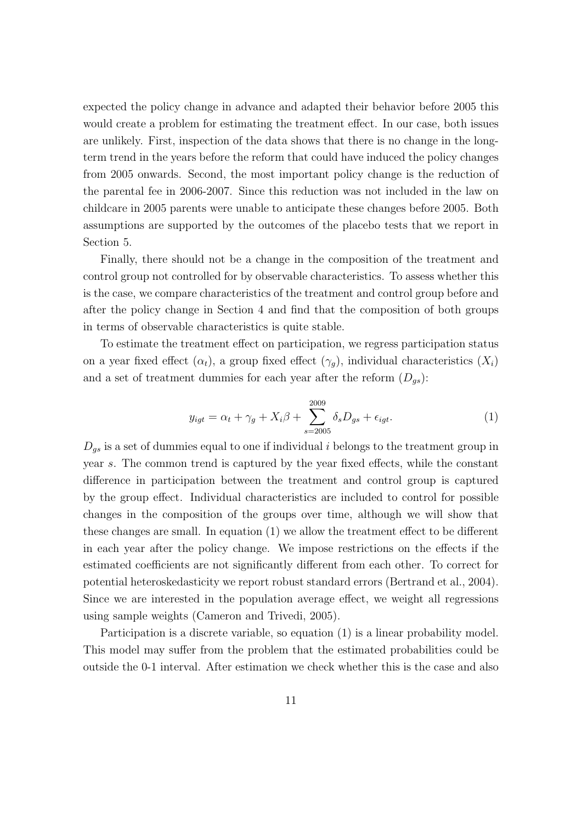expected the policy change in advance and adapted their behavior before 2005 this would create a problem for estimating the treatment effect. In our case, both issues are unlikely. First, inspection of the data shows that there is no change in the longterm trend in the years before the reform that could have induced the policy changes from 2005 onwards. Second, the most important policy change is the reduction of the parental fee in 2006-2007. Since this reduction was not included in the law on childcare in 2005 parents were unable to anticipate these changes before 2005. Both assumptions are supported by the outcomes of the placebo tests that we report in Section 5.

Finally, there should not be a change in the composition of the treatment and control group not controlled for by observable characteristics. To assess whether this is the case, we compare characteristics of the treatment and control group before and after the policy change in Section 4 and find that the composition of both groups in terms of observable characteristics is quite stable.

To estimate the treatment effect on participation, we regress participation status on a year fixed effect  $(\alpha_t)$ , a group fixed effect  $(\gamma_g)$ , individual characteristics  $(X_i)$ and a set of treatment dummies for each year after the reform  $(D_{gs})$ :

$$
y_{igt} = \alpha_t + \gamma_g + X_i \beta + \sum_{s=2005}^{2009} \delta_s D_{gs} + \epsilon_{igt}.
$$
 (1)

 $D_{gs}$  is a set of dummies equal to one if individual i belongs to the treatment group in year s. The common trend is captured by the year fixed effects, while the constant difference in participation between the treatment and control group is captured by the group effect. Individual characteristics are included to control for possible changes in the composition of the groups over time, although we will show that these changes are small. In equation (1) we allow the treatment effect to be different in each year after the policy change. We impose restrictions on the effects if the estimated coefficients are not significantly different from each other. To correct for potential heteroskedasticity we report robust standard errors (Bertrand et al., 2004). Since we are interested in the population average effect, we weight all regressions using sample weights (Cameron and Trivedi, 2005).

Participation is a discrete variable, so equation (1) is a linear probability model. This model may suffer from the problem that the estimated probabilities could be outside the 0-1 interval. After estimation we check whether this is the case and also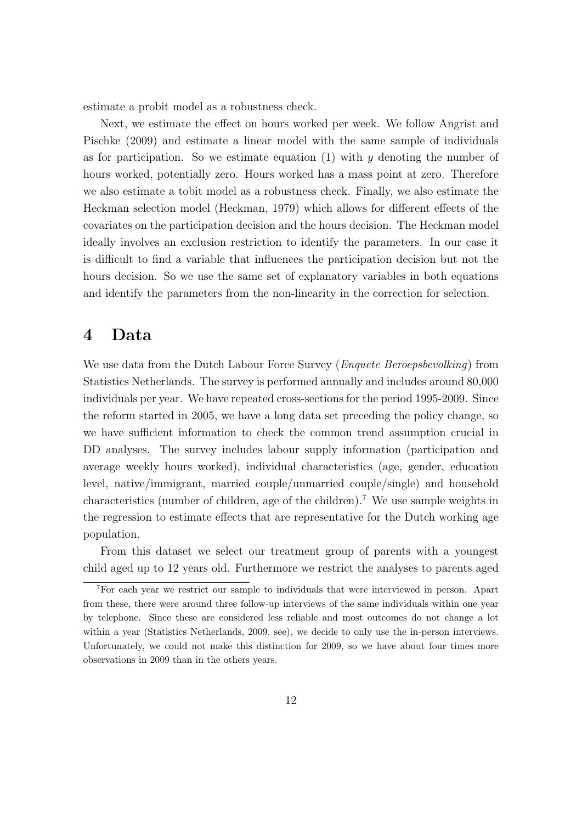estimate a probit model as a robustness check.

Next, we estimate the effect on hours worked per week. We follow Angrist and Pischke (2009) and estimate a linear model with the same sample of individuals as for participation. So we estimate equation (1) with  $y$  denoting the number of hours worked, potentially zero. Hours worked has a mass point at zero. Therefore we also estimate a tobit model as a robustness check. Finally, we also estimate the Heckman selection model (Heckman, 1979) which allows for different effects of the covariates on the participation decision and the hours decision. The Heckman model ideally involves an exclusion restriction to identify the parameters. In our case it is difficult to find a variable that influences the participation decision but not the hours decision. So we use the same set of explanatory variables in both equations and identify the parameters from the non-linearity in the correction for selection.

## 4 Data

We use data from the Dutch Labour Force Survey (*Enquete Beroepsbevolking*) from Statistics Netherlands. The survey is performed annually and includes around 80,000 individuals per year. We have repeated cross-sections for the period 1995-2009. Since the reform started in 2005, we have a long data set preceding the policy change, so we have sufficient information to check the common trend assumption crucial in DD analyses. The survey includes labour supply information (participation and average weekly hours worked), individual characteristics (age, gender, education level, native/immigrant, married couple/unmarried couple/single) and household characteristics (number of children, age of the children).<sup>7</sup> We use sample weights in the regression to estimate effects that are representative for the Dutch working age population.

From this dataset we select our treatment group of parents with a youngest child aged up to 12 years old. Furthermore we restrict the analyses to parents aged

<sup>7</sup>For each year we restrict our sample to individuals that were interviewed in person. Apart from these, there were around three follow-up interviews of the same individuals within one year by telephone. Since these are considered less reliable and most outcomes do not change a lot within a year (Statistics Netherlands, 2009, see), we decide to only use the in-person interviews. Unfortunately, we could not make this distinction for 2009, so we have about four times more observations in 2009 than in the others years.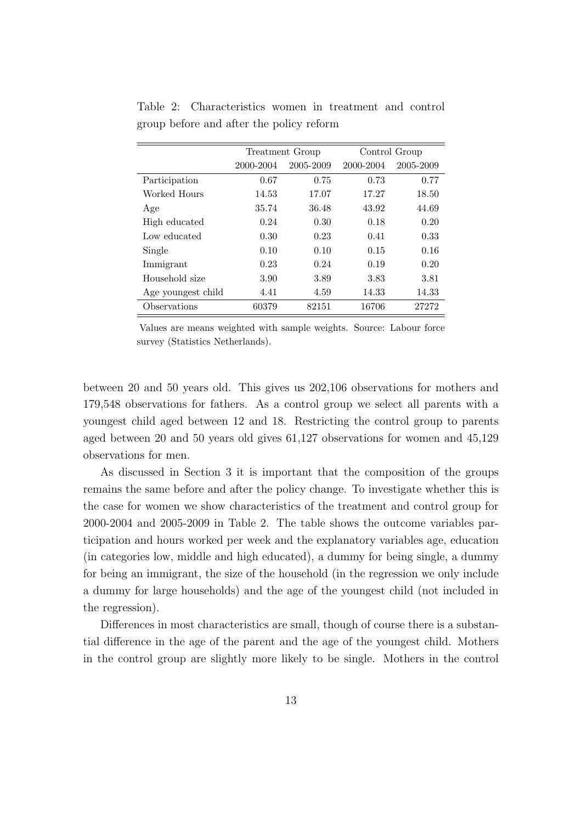|                    | Treatment Group |           | Control Group |           |
|--------------------|-----------------|-----------|---------------|-----------|
|                    | 2000-2004       | 2005-2009 | 2000-2004     | 2005-2009 |
| Participation      | 0.67            | 0.75      | 0.73          | 0.77      |
| Worked Hours       | 14.53           | 17.07     | 17.27         | 18.50     |
| Age                | 35.74           | 36.48     | 43.92         | 44.69     |
| High educated      | 0.24            | 0.30      | 0.18          | 0.20      |
| Low educated       | 0.30            | 0.23      | 0.41          | 0.33      |
| Single             | 0.10            | 0.10      | 0.15          | 0.16      |
| Immigrant          | 0.23            | 0.24      | 0.19          | 0.20      |
| Household size     | 3.90            | 3.89      | 3.83          | 3.81      |
| Age youngest child | 4.41            | 4.59      | 14.33         | 14.33     |
| Observations       | 60379           | 82151     | 16706         | 27272     |

Table 2: Characteristics women in treatment and control group before and after the policy reform

Values are means weighted with sample weights. Source: Labour force survey (Statistics Netherlands).

between 20 and 50 years old. This gives us 202,106 observations for mothers and 179,548 observations for fathers. As a control group we select all parents with a youngest child aged between 12 and 18. Restricting the control group to parents aged between 20 and 50 years old gives 61,127 observations for women and 45,129 observations for men.

As discussed in Section 3 it is important that the composition of the groups remains the same before and after the policy change. To investigate whether this is the case for women we show characteristics of the treatment and control group for 2000-2004 and 2005-2009 in Table 2. The table shows the outcome variables participation and hours worked per week and the explanatory variables age, education (in categories low, middle and high educated), a dummy for being single, a dummy for being an immigrant, the size of the household (in the regression we only include a dummy for large households) and the age of the youngest child (not included in the regression).

Differences in most characteristics are small, though of course there is a substantial difference in the age of the parent and the age of the youngest child. Mothers in the control group are slightly more likely to be single. Mothers in the control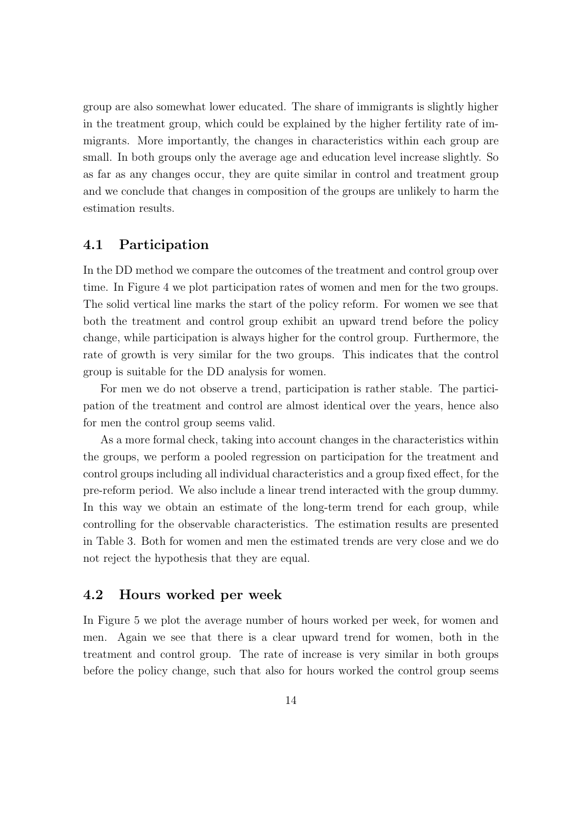group are also somewhat lower educated. The share of immigrants is slightly higher in the treatment group, which could be explained by the higher fertility rate of immigrants. More importantly, the changes in characteristics within each group are small. In both groups only the average age and education level increase slightly. So as far as any changes occur, they are quite similar in control and treatment group and we conclude that changes in composition of the groups are unlikely to harm the estimation results.

### 4.1 Participation

In the DD method we compare the outcomes of the treatment and control group over time. In Figure 4 we plot participation rates of women and men for the two groups. The solid vertical line marks the start of the policy reform. For women we see that both the treatment and control group exhibit an upward trend before the policy change, while participation is always higher for the control group. Furthermore, the rate of growth is very similar for the two groups. This indicates that the control group is suitable for the DD analysis for women.

For men we do not observe a trend, participation is rather stable. The participation of the treatment and control are almost identical over the years, hence also for men the control group seems valid.

As a more formal check, taking into account changes in the characteristics within the groups, we perform a pooled regression on participation for the treatment and control groups including all individual characteristics and a group fixed effect, for the pre-reform period. We also include a linear trend interacted with the group dummy. In this way we obtain an estimate of the long-term trend for each group, while controlling for the observable characteristics. The estimation results are presented in Table 3. Both for women and men the estimated trends are very close and we do not reject the hypothesis that they are equal.

### 4.2 Hours worked per week

In Figure 5 we plot the average number of hours worked per week, for women and men. Again we see that there is a clear upward trend for women, both in the treatment and control group. The rate of increase is very similar in both groups before the policy change, such that also for hours worked the control group seems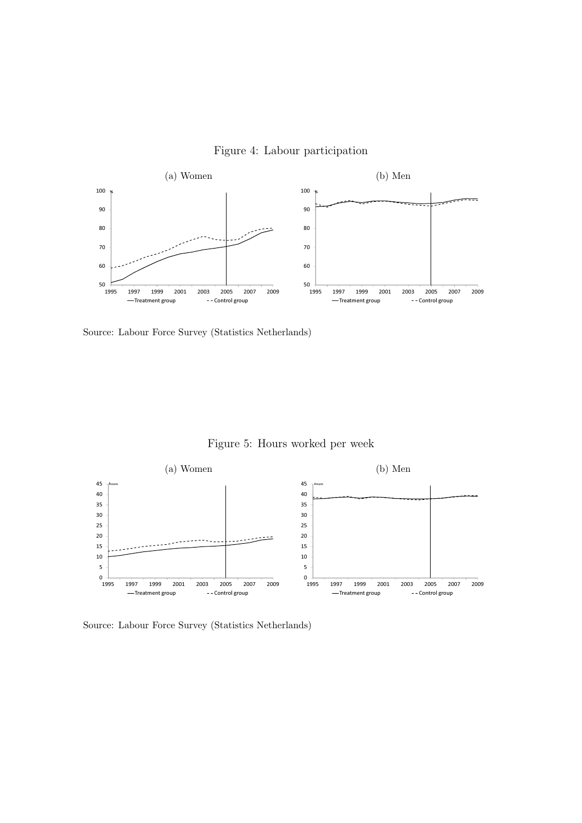

Figure 4: Labour participation

Source: Labour Force Survey (Statistics Netherlands)

Figure 5: Hours worked per week



Source: Labour Force Survey (Statistics Netherlands)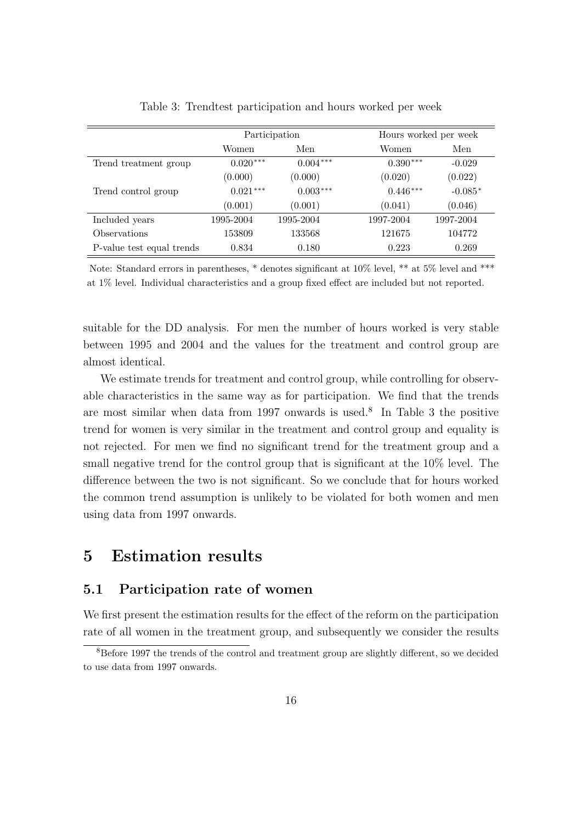|                            |            | Participation | Hours worked per week   |
|----------------------------|------------|---------------|-------------------------|
|                            | Women      | Men           | Men<br>Women            |
| Trend treatment group      | $0.020***$ | $0.004***$    | $0.390***$<br>$-0.029$  |
|                            | (0.000)    | (0.000)       | (0.022)<br>(0.020)      |
| Trend control group        | $0.021***$ | $0.003***$    | $0.446***$<br>$-0.085*$ |
|                            | (0.001)    | (0.001)       | (0.046)<br>(0.041)      |
| Included years             | 1995-2004  | 1995-2004     | 1997-2004<br>1997-2004  |
| <i><b>Observations</b></i> | 153809     | 133568        | 104772<br>121675        |
| P-value test equal trends  | 0.834      | 0.180         | 0.223<br>0.269          |

Table 3: Trendtest participation and hours worked per week

Note: Standard errors in parentheses, \* denotes significant at 10% level, \*\* at 5% level and \*\*\* at 1% level. Individual characteristics and a group fixed effect are included but not reported.

suitable for the DD analysis. For men the number of hours worked is very stable between 1995 and 2004 and the values for the treatment and control group are almost identical.

We estimate trends for treatment and control group, while controlling for observable characteristics in the same way as for participation. We find that the trends are most similar when data from 1997 onwards is used.<sup>8</sup> In Table 3 the positive trend for women is very similar in the treatment and control group and equality is not rejected. For men we find no significant trend for the treatment group and a small negative trend for the control group that is significant at the 10% level. The difference between the two is not significant. So we conclude that for hours worked the common trend assumption is unlikely to be violated for both women and men using data from 1997 onwards.

# 5 Estimation results

### 5.1 Participation rate of women

We first present the estimation results for the effect of the reform on the participation rate of all women in the treatment group, and subsequently we consider the results

<sup>&</sup>lt;sup>8</sup>Before 1997 the trends of the control and treatment group are slightly different, so we decided to use data from 1997 onwards.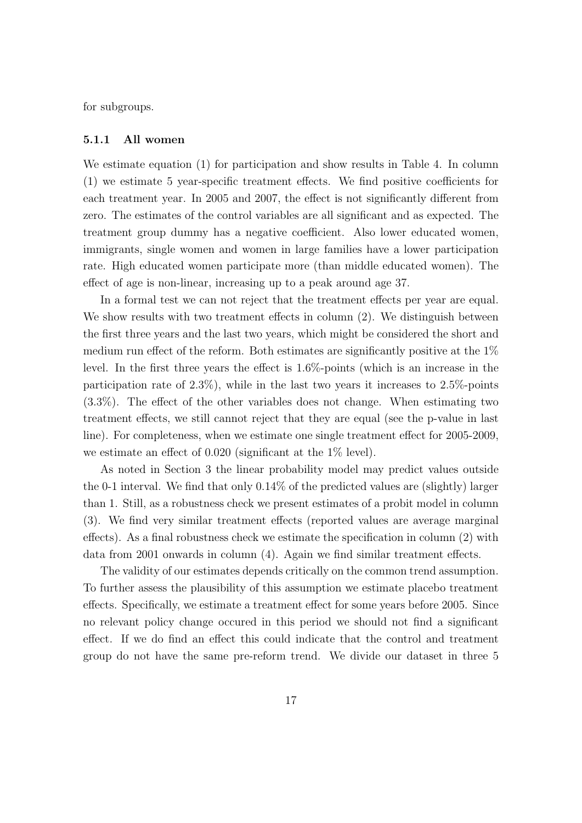for subgroups.

#### 5.1.1 All women

We estimate equation (1) for participation and show results in Table 4. In column (1) we estimate 5 year-specific treatment effects. We find positive coefficients for each treatment year. In 2005 and 2007, the effect is not significantly different from zero. The estimates of the control variables are all significant and as expected. The treatment group dummy has a negative coefficient. Also lower educated women, immigrants, single women and women in large families have a lower participation rate. High educated women participate more (than middle educated women). The effect of age is non-linear, increasing up to a peak around age 37.

In a formal test we can not reject that the treatment effects per year are equal. We show results with two treatment effects in column (2). We distinguish between the first three years and the last two years, which might be considered the short and medium run effect of the reform. Both estimates are significantly positive at the 1% level. In the first three years the effect is 1.6%-points (which is an increase in the participation rate of 2.3%), while in the last two years it increases to 2.5%-points (3.3%). The effect of the other variables does not change. When estimating two treatment effects, we still cannot reject that they are equal (see the p-value in last line). For completeness, when we estimate one single treatment effect for 2005-2009, we estimate an effect of 0.020 (significant at the 1% level).

As noted in Section 3 the linear probability model may predict values outside the 0-1 interval. We find that only 0.14% of the predicted values are (slightly) larger than 1. Still, as a robustness check we present estimates of a probit model in column (3). We find very similar treatment effects (reported values are average marginal effects). As a final robustness check we estimate the specification in column (2) with data from 2001 onwards in column (4). Again we find similar treatment effects.

The validity of our estimates depends critically on the common trend assumption. To further assess the plausibility of this assumption we estimate placebo treatment effects. Specifically, we estimate a treatment effect for some years before 2005. Since no relevant policy change occured in this period we should not find a significant effect. If we do find an effect this could indicate that the control and treatment group do not have the same pre-reform trend. We divide our dataset in three 5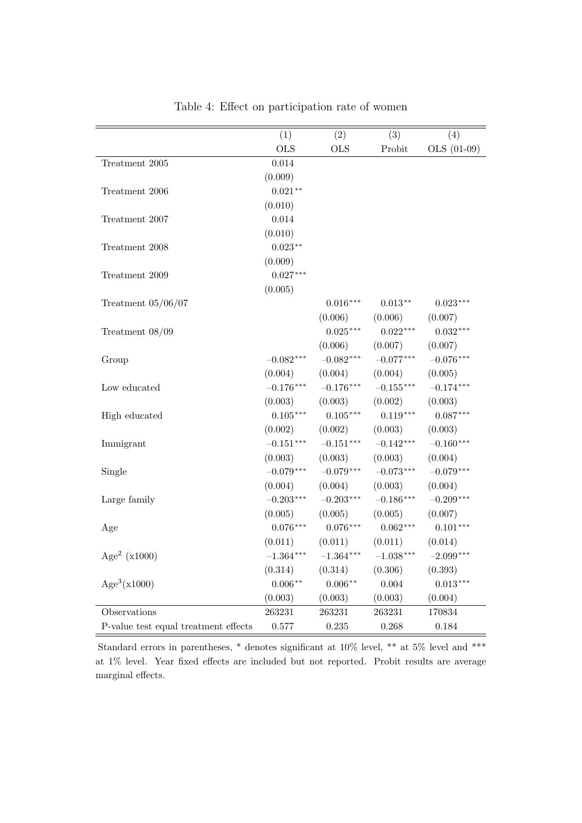|                                      | (1)         | (2)         | (3)                     | (4)         |
|--------------------------------------|-------------|-------------|-------------------------|-------------|
|                                      | <b>OLS</b>  | <b>OLS</b>  | Probit                  | OLS (01-09) |
| Treatment 2005                       | 0.014       |             |                         |             |
|                                      | (0.009)     |             |                         |             |
| Treatment 2006                       | $0.021**$   |             |                         |             |
|                                      | (0.010)     |             |                         |             |
| Treatment 2007                       | 0.014       |             |                         |             |
|                                      | (0.010)     |             |                         |             |
| Treatment 2008                       | $0.023**$   |             |                         |             |
|                                      | (0.009)     |             |                         |             |
| Treatment 2009                       | $0.027***$  |             |                         |             |
|                                      | (0.005)     |             |                         |             |
| Treatment $05/06/07$                 |             | $0.016***$  | $0.013**$               | $0.023***$  |
|                                      |             | (0.006)     | (0.006)                 | (0.007)     |
| Treatment $08/09$                    |             | $0.025***$  | $0.022***$              | $0.032***$  |
|                                      |             | (0.006)     | (0.007)                 | (0.007)     |
| Group                                | $-0.082***$ | $-0.082***$ | $-0.077***$             | $-0.076***$ |
|                                      | (0.004)     | (0.004)     | (0.004)                 | (0.005)     |
| Low educated                         | $-0.176***$ | $-0.176***$ | $-0.155***$             | $-0.174***$ |
|                                      | (0.003)     | (0.003)     | (0.002)                 | (0.003)     |
| High educated                        | $0.105***$  | $0.105***$  | $0.119***$              | $0.087***$  |
|                                      | (0.002)     | (0.002)     | (0.003)                 | (0.003)     |
| Immigrant                            | $-0.151***$ | $-0.151***$ | $-0.142***$             | $-0.160***$ |
|                                      | (0.003)     | (0.003)     | (0.003)                 | (0.004)     |
| Single                               | $-0.079***$ | $-0.079***$ | $-0.073***$             | $-0.079***$ |
|                                      | (0.004)     | (0.004)     | (0.003)                 | (0.004)     |
| Large family                         | $-0.203***$ | $-0.203***$ | $-0.186***$             | $-0.209***$ |
|                                      | (0.005)     | (0.005)     | (0.005)                 | (0.007)     |
| Age                                  | $0.076***$  | $0.076***$  | $0.062***$              | $0.101***$  |
|                                      | (0.011)     | (0.011)     | (0.011)                 | (0.014)     |
| Age <sup>2</sup> ( $x1000$ )         | $-1.364***$ | $-1.364***$ | $-1.038^{\ast\ast\ast}$ | $-2.099***$ |
|                                      | (0.314)     | (0.314)     | (0.306)                 | (0.393)     |
| Age <sup>3</sup> (x1000)             | $0.006**$   | $0.006**$   | 0.004                   | $0.013***$  |
|                                      | (0.003)     | (0.003)     | (0.003)                 | (0.004)     |
| Observations                         | 263231      | 263231      | 263231                  | 170834      |
| P-value test equal treatment effects | 0.577       | $0.235\,$   | 0.268                   | 0.184       |

Table 4: Effect on participation rate of women

Standard errors in parentheses, \* denotes significant at 10% level, \*\* at 5% level and \*\*\* at 1% level. Year fixed effects are included but not reported. Probit results are average marginal effects.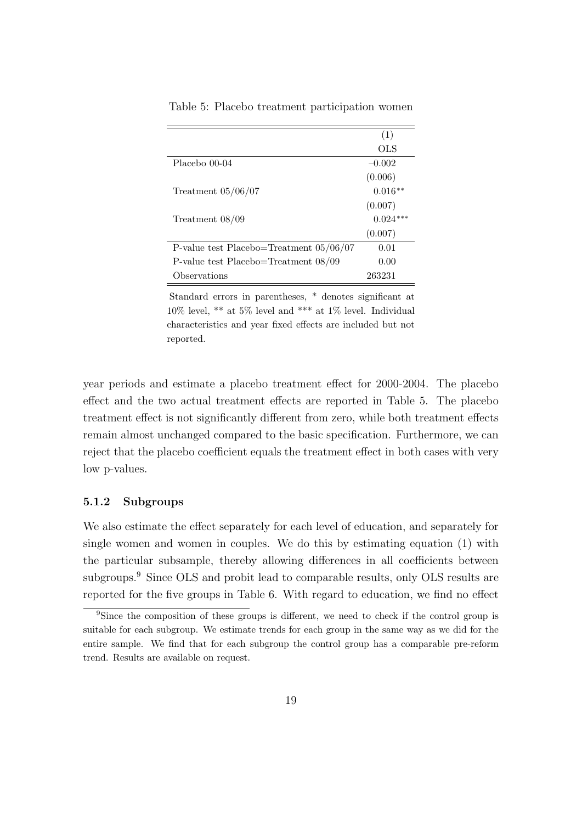|                                           | (1)        |
|-------------------------------------------|------------|
|                                           | OLS        |
| Placebo 00-04                             | $-0.002$   |
|                                           | (0.006)    |
| Treatment $05/06/07$                      | $0.016**$  |
|                                           | (0.007)    |
| Treatment $08/09$                         | $0.024***$ |
|                                           | (0.007)    |
| P-value test Placebo=Treatment $05/06/07$ | 0.01       |
| P-value test Placebo=Treatment $08/09$    | 0.00       |
| Observations                              | 263231     |

Table 5: Placebo treatment participation women

Standard errors in parentheses, \* denotes significant at 10% level, \*\* at 5% level and \*\*\* at 1% level. Individual characteristics and year fixed effects are included but not reported.

year periods and estimate a placebo treatment effect for 2000-2004. The placebo effect and the two actual treatment effects are reported in Table 5. The placebo treatment effect is not significantly different from zero, while both treatment effects remain almost unchanged compared to the basic specification. Furthermore, we can reject that the placebo coefficient equals the treatment effect in both cases with very low p-values.

#### 5.1.2 Subgroups

We also estimate the effect separately for each level of education, and separately for single women and women in couples. We do this by estimating equation (1) with the particular subsample, thereby allowing differences in all coefficients between subgroups.<sup>9</sup> Since OLS and probit lead to comparable results, only OLS results are reported for the five groups in Table 6. With regard to education, we find no effect

<sup>&</sup>lt;sup>9</sup>Since the composition of these groups is different, we need to check if the control group is suitable for each subgroup. We estimate trends for each group in the same way as we did for the entire sample. We find that for each subgroup the control group has a comparable pre-reform trend. Results are available on request.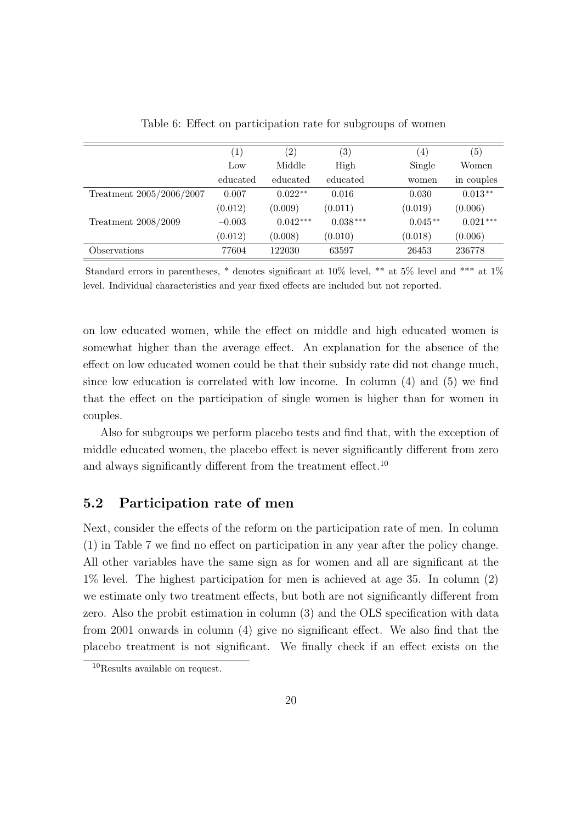|                          | $\left(1\right)$ | $\left( 2\right)$ | $\left( 3\right)$ | $\left(4\right)$ | $\left( 5\right)$ |
|--------------------------|------------------|-------------------|-------------------|------------------|-------------------|
|                          | Low              | Middle            | High              | Single           | Women             |
|                          | educated         | educated          | educated          | women            | in couples        |
| Treatment 2005/2006/2007 | 0.007            | $0.022**$         | 0.016             | 0.030            | $0.013**$         |
|                          | (0.012)          | (0.009)           | (0.011)           | (0.019)          | (0.006)           |
| Treatment 2008/2009      | $-0.003$         | $0.042***$        | $0.038***$        | $0.045**$        | $0.021***$        |
|                          | (0.012)          | (0.008)           | (0.010)           | (0.018)          | (0.006)           |
| Observations             | 77604            | 122030            | 63597             | 26453            | 236778            |

Table 6: Effect on participation rate for subgroups of women

Standard errors in parentheses, \* denotes significant at 10% level, \*\* at 5% level and \*\*\* at 1% level. Individual characteristics and year fixed effects are included but not reported.

on low educated women, while the effect on middle and high educated women is somewhat higher than the average effect. An explanation for the absence of the effect on low educated women could be that their subsidy rate did not change much, since low education is correlated with low income. In column (4) and (5) we find that the effect on the participation of single women is higher than for women in couples.

Also for subgroups we perform placebo tests and find that, with the exception of middle educated women, the placebo effect is never significantly different from zero and always significantly different from the treatment effect.<sup>10</sup>

### 5.2 Participation rate of men

Next, consider the effects of the reform on the participation rate of men. In column (1) in Table 7 we find no effect on participation in any year after the policy change. All other variables have the same sign as for women and all are significant at the 1% level. The highest participation for men is achieved at age 35. In column (2) we estimate only two treatment effects, but both are not significantly different from zero. Also the probit estimation in column (3) and the OLS specification with data from 2001 onwards in column (4) give no significant effect. We also find that the placebo treatment is not significant. We finally check if an effect exists on the

<sup>10</sup>Results available on request.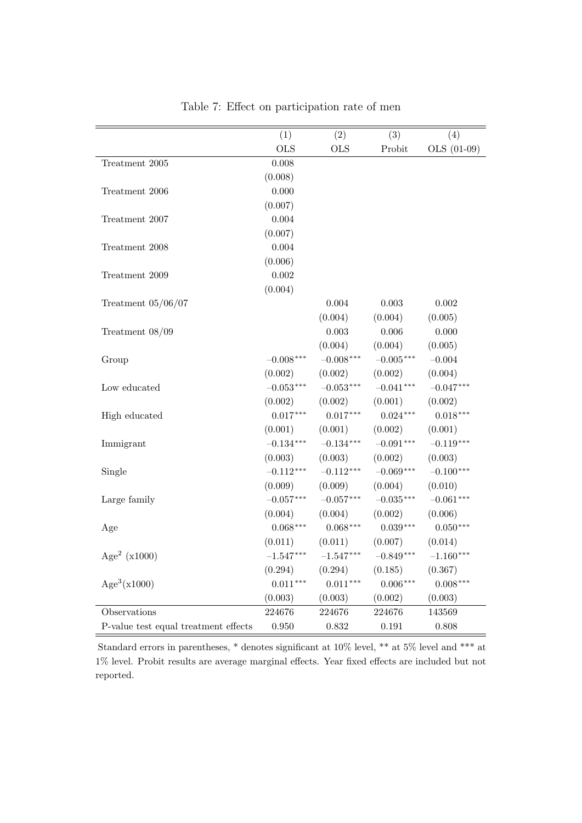|                                      | (1)         | (2)         | (3)         | (4)         |
|--------------------------------------|-------------|-------------|-------------|-------------|
|                                      | <b>OLS</b>  | <b>OLS</b>  | Probit      | OLS (01-09) |
| Treatment 2005                       | 0.008       |             |             |             |
|                                      | (0.008)     |             |             |             |
| Treatment 2006                       | 0.000       |             |             |             |
|                                      | (0.007)     |             |             |             |
| Treatment 2007                       | 0.004       |             |             |             |
|                                      | (0.007)     |             |             |             |
| Treatment 2008                       | 0.004       |             |             |             |
|                                      | (0.006)     |             |             |             |
| Treatment 2009                       | $0.002\,$   |             |             |             |
|                                      | (0.004)     |             |             |             |
| Treatment $05/06/07$                 |             | $0.004\,$   | 0.003       | 0.002       |
|                                      |             | (0.004)     | (0.004)     | (0.005)     |
| Treatment $08/09$                    |             | $0.003\,$   | 0.006       | 0.000       |
|                                      |             | (0.004)     | (0.004)     | (0.005)     |
| Group                                | $-0.008***$ | $-0.008***$ | $-0.005***$ | $-0.004$    |
|                                      | (0.002)     | (0.002)     | (0.002)     | (0.004)     |
| Low educated                         | $-0.053***$ | $-0.053***$ | $-0.041***$ | $-0.047***$ |
|                                      | (0.002)     | (0.002)     | (0.001)     | (0.002)     |
| High educated                        | $0.017***$  | $0.017***$  | $0.024***$  | $0.018***$  |
|                                      | (0.001)     | (0.001)     | (0.002)     | (0.001)     |
| Immigrant                            | $-0.134***$ | $-0.134***$ | $-0.091***$ | $-0.119***$ |
|                                      | (0.003)     | (0.003)     | (0.002)     | (0.003)     |
| Single                               | $-0.112***$ | $-0.112***$ | $-0.069***$ | $-0.100***$ |
|                                      | (0.009)     | (0.009)     | (0.004)     | (0.010)     |
| Large family                         | $-0.057***$ | $-0.057***$ | $-0.035***$ | $-0.061***$ |
|                                      | (0.004)     | (0.004)     | (0.002)     | (0.006)     |
| Age                                  | $0.068***$  | $0.068***$  | $0.039***$  | $0.050***$  |
|                                      | (0.011)     | (0.011)     | (0.007)     | (0.014)     |
| Age <sup>2</sup> ( $x1000$ )         | $-1.547***$ | $-1.547***$ | $-0.849***$ | $-1.160***$ |
|                                      | (0.294)     | (0.294)     | (0.185)     | (0.367)     |
| Age <sup>3</sup> (x1000)             | $0.011***$  | $0.011***$  | $0.006***$  | $0.008***$  |
|                                      | (0.003)     | (0.003)     | (0.002)     | (0.003)     |
| Observations                         | 224676      | 224676      | 224676      | 143569      |
| P-value test equal treatment effects | $0.950\,$   | $0.832\,$   | 0.191       | 0.808       |

Table 7: Effect on participation rate of men

Standard errors in parentheses, \* denotes significant at 10% level, \*\* at 5% level and \*\*\* at 1% level. Probit results are average marginal effects. Year fixed effects are included but not reported.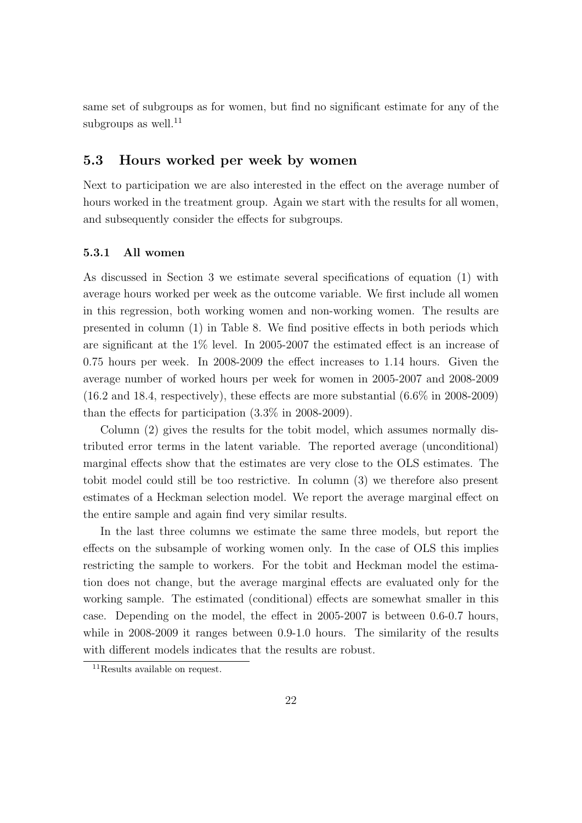same set of subgroups as for women, but find no significant estimate for any of the subgroups as well. $^{11}$ 

### 5.3 Hours worked per week by women

Next to participation we are also interested in the effect on the average number of hours worked in the treatment group. Again we start with the results for all women, and subsequently consider the effects for subgroups.

### 5.3.1 All women

As discussed in Section 3 we estimate several specifications of equation (1) with average hours worked per week as the outcome variable. We first include all women in this regression, both working women and non-working women. The results are presented in column (1) in Table 8. We find positive effects in both periods which are significant at the 1% level. In 2005-2007 the estimated effect is an increase of 0.75 hours per week. In 2008-2009 the effect increases to 1.14 hours. Given the average number of worked hours per week for women in 2005-2007 and 2008-2009 (16.2 and 18.4, respectively), these effects are more substantial (6.6% in 2008-2009) than the effects for participation (3.3% in 2008-2009).

Column (2) gives the results for the tobit model, which assumes normally distributed error terms in the latent variable. The reported average (unconditional) marginal effects show that the estimates are very close to the OLS estimates. The tobit model could still be too restrictive. In column (3) we therefore also present estimates of a Heckman selection model. We report the average marginal effect on the entire sample and again find very similar results.

In the last three columns we estimate the same three models, but report the effects on the subsample of working women only. In the case of OLS this implies restricting the sample to workers. For the tobit and Heckman model the estimation does not change, but the average marginal effects are evaluated only for the working sample. The estimated (conditional) effects are somewhat smaller in this case. Depending on the model, the effect in 2005-2007 is between 0.6-0.7 hours, while in 2008-2009 it ranges between 0.9-1.0 hours. The similarity of the results with different models indicates that the results are robust.

<sup>&</sup>lt;sup>11</sup>Results available on request.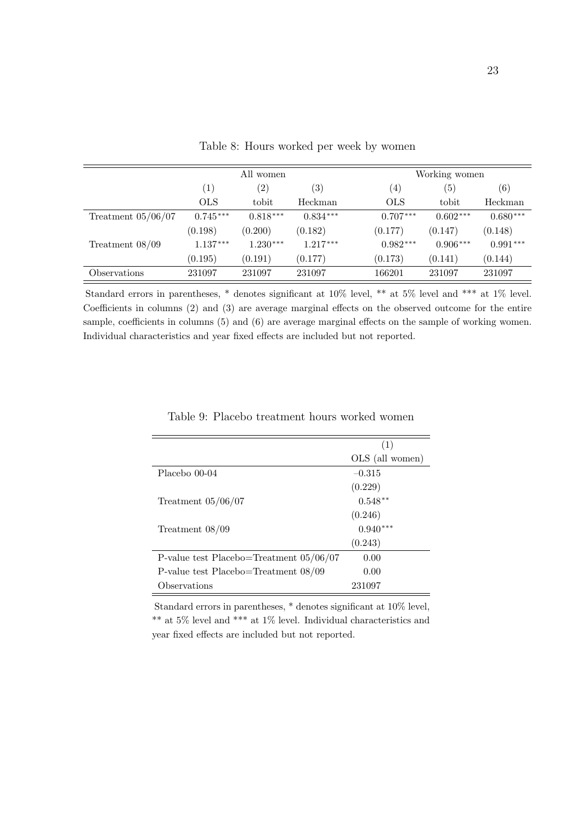|                      | All women         |                   |                   |                   | Working women     |                   |  |
|----------------------|-------------------|-------------------|-------------------|-------------------|-------------------|-------------------|--|
|                      | $\left( 1\right)$ | $\left( 2\right)$ | $\left( 3\right)$ | $\left( 4\right)$ | $\left( 5\right)$ | $\left( 6\right)$ |  |
|                      | <b>OLS</b>        | tobit             | Heckman           | <b>OLS</b>        | tobit             | Heckman           |  |
| Treatment $05/06/07$ | $0.745***$        | $0.818***$        | $0.834***$        | $0.707***$        | $0.602***$        | $0.680***$        |  |
|                      | (0.198)           | (0.200)           | (0.182)           | (0.177)           | (0.147)           | (0.148)           |  |
| Treatment $08/09$    | $1.137***$        | $1.230***$        | $1.217***$        | $0.982***$        | $0.906***$        | $0.991***$        |  |
|                      | (0.195)           | (0.191)           | (0.177)           | (0.173)           | (0.141)           | (0.144)           |  |
| Observations         | 231097            | 231097            | 231097            | 166201            | 231097            | 231097            |  |

Table 8: Hours worked per week by women

Standard errors in parentheses, \* denotes significant at 10% level, \*\* at 5% level and \*\*\* at 1% level. Coefficients in columns (2) and (3) are average marginal effects on the observed outcome for the entire sample, coefficients in columns (5) and (6) are average marginal effects on the sample of working women. Individual characteristics and year fixed effects are included but not reported.

|                                           | (1)             |
|-------------------------------------------|-----------------|
|                                           | OLS (all women) |
| Placebo 00-04                             | $-0.315$        |
|                                           | (0.229)         |
| Treatment $05/06/07$                      | $0.548**$       |
|                                           | (0.246)         |
| Treatment 08/09                           | $0.940***$      |
|                                           | (0.243)         |
| P-value test Placebo=Treatment $05/06/07$ | 0.00            |
| P-value test Placebo=Treatment $08/09$    | 0.00            |
| Observations                              | 231097          |

Table 9: Placebo treatment hours worked women

Standard errors in parentheses, \* denotes significant at 10% level,  $^{**}$  at 5% level and  $^{***}$  at 1% level. Individual characteristics and year fixed effects are included but not reported.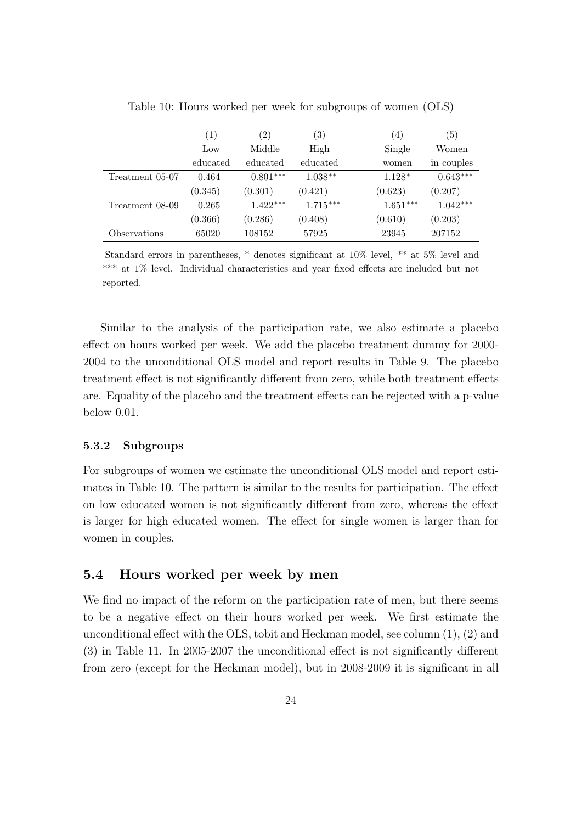|                 | $\left( 1\right)$ | $\left( 2\right)$ | $\left( 3\right)$ | (4)        | (5)        |
|-----------------|-------------------|-------------------|-------------------|------------|------------|
|                 | Low               | Middle            | High              | Single     | Women      |
|                 | educated          | educated          | educated          | women      | in couples |
| Treatment 05-07 | 0.464             | $0.801***$        | $1.038**$         | $1.128*$   | $0.643***$ |
|                 | (0.345)           | (0.301)           | (0.421)           | (0.623)    | (0.207)    |
| Treatment 08-09 | 0.265             | $1.422***$        | $1.715***$        | $1.651***$ | $1.042***$ |
|                 | (0.366)           | (0.286)           | (0.408)           | (0.610)    | (0.203)    |
| Observations    | 65020             | 108152            | 57925             | 23945      | 207152     |

Table 10: Hours worked per week for subgroups of women (OLS)

Standard errors in parentheses, \* denotes significant at 10% level, \*\* at 5% level and \*\*\* at 1% level. Individual characteristics and year fixed effects are included but not reported.

Similar to the analysis of the participation rate, we also estimate a placebo effect on hours worked per week. We add the placebo treatment dummy for 2000- 2004 to the unconditional OLS model and report results in Table 9. The placebo treatment effect is not significantly different from zero, while both treatment effects are. Equality of the placebo and the treatment effects can be rejected with a p-value below 0.01.

#### 5.3.2 Subgroups

For subgroups of women we estimate the unconditional OLS model and report estimates in Table 10. The pattern is similar to the results for participation. The effect on low educated women is not significantly different from zero, whereas the effect is larger for high educated women. The effect for single women is larger than for women in couples.

### 5.4 Hours worked per week by men

We find no impact of the reform on the participation rate of men, but there seems to be a negative effect on their hours worked per week. We first estimate the unconditional effect with the OLS, tobit and Heckman model, see column (1), (2) and (3) in Table 11. In 2005-2007 the unconditional effect is not significantly different from zero (except for the Heckman model), but in 2008-2009 it is significant in all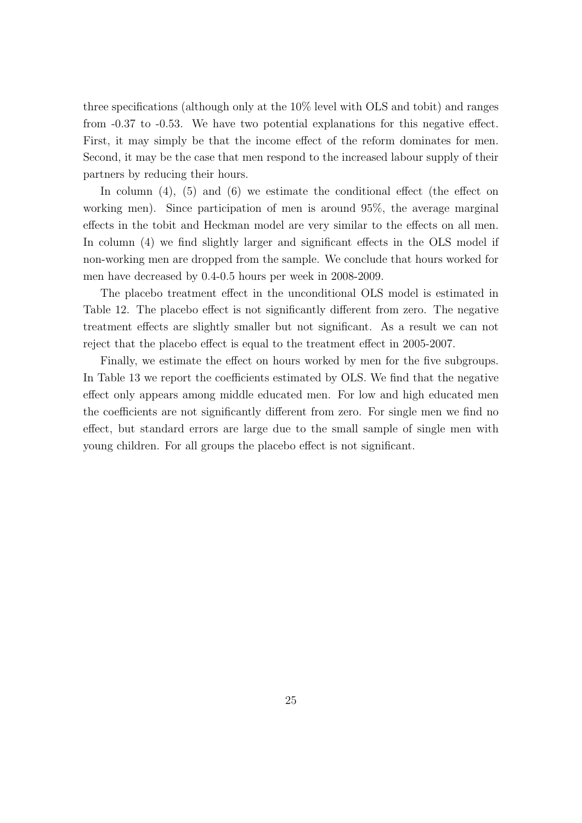three specifications (although only at the 10% level with OLS and tobit) and ranges from -0.37 to -0.53. We have two potential explanations for this negative effect. First, it may simply be that the income effect of the reform dominates for men. Second, it may be the case that men respond to the increased labour supply of their partners by reducing their hours.

In column  $(4)$ ,  $(5)$  and  $(6)$  we estimate the conditional effect (the effect on working men). Since participation of men is around 95%, the average marginal effects in the tobit and Heckman model are very similar to the effects on all men. In column (4) we find slightly larger and significant effects in the OLS model if non-working men are dropped from the sample. We conclude that hours worked for men have decreased by 0.4-0.5 hours per week in 2008-2009.

The placebo treatment effect in the unconditional OLS model is estimated in Table 12. The placebo effect is not significantly different from zero. The negative treatment effects are slightly smaller but not significant. As a result we can not reject that the placebo effect is equal to the treatment effect in 2005-2007.

Finally, we estimate the effect on hours worked by men for the five subgroups. In Table 13 we report the coefficients estimated by OLS. We find that the negative effect only appears among middle educated men. For low and high educated men the coefficients are not significantly different from zero. For single men we find no effect, but standard errors are large due to the small sample of single men with young children. For all groups the placebo effect is not significant.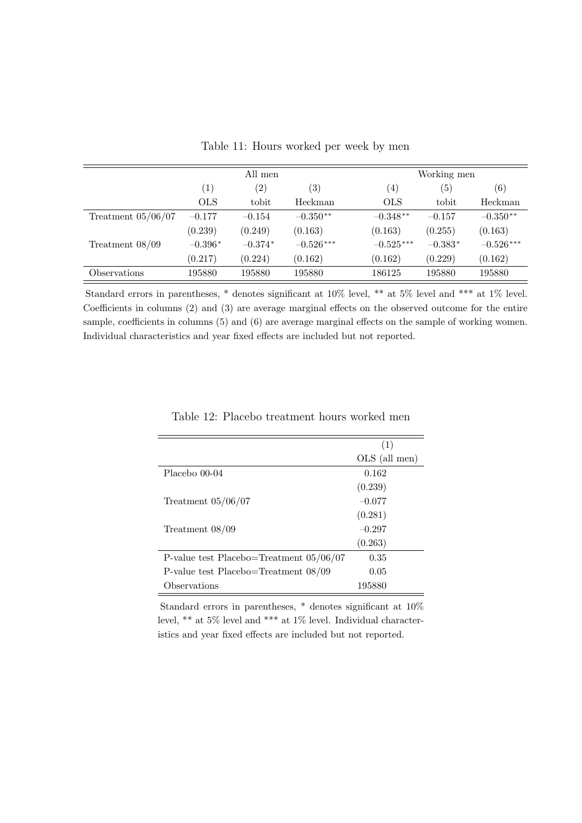|                      |                   | All men           |                   |                   | Working men       |             |  |
|----------------------|-------------------|-------------------|-------------------|-------------------|-------------------|-------------|--|
|                      | $\left( 1\right)$ | $\left( 2\right)$ | $\left( 3\right)$ | $\left( 4\right)$ | $\left( 5\right)$ | (6)         |  |
|                      | <b>OLS</b>        | tobit             | Heckman           | <b>OLS</b>        | tobit             | Heckman     |  |
| Treatment $05/06/07$ | $-0.177$          | $-0.154$          | $-0.350**$        | $-0.348**$        | $-0.157$          | $-0.350**$  |  |
|                      | (0.239)           | (0.249)           | (0.163)           | (0.163)           | (0.255)           | (0.163)     |  |
| Treatment $08/09$    | $-0.396*$         | $-0.374*$         | $-0.526***$       | $-0.525***$       | $-0.383*$         | $-0.526***$ |  |
|                      | (0.217)           | (0.224)           | (0.162)           | (0.162)           | (0.229)           | (0.162)     |  |
| Observations         | 195880            | 195880            | 195880            | 186125            | 195880            | 195880      |  |

Table 11: Hours worked per week by men

Standard errors in parentheses, \* denotes significant at 10% level, \*\* at 5% level and \*\*\* at 1% level. Coefficients in columns (2) and (3) are average marginal effects on the observed outcome for the entire sample, coefficients in columns (5) and (6) are average marginal effects on the sample of working women. Individual characteristics and year fixed effects are included but not reported.

|                                           | (1)           |
|-------------------------------------------|---------------|
|                                           | OLS (all men) |
| Placebo 00-04                             | 0.162         |
|                                           | (0.239)       |
| Treatment $05/06/07$                      | $-0.077$      |
|                                           | (0.281)       |
| Treatment $08/09$                         | $-0.297$      |
|                                           | (0.263)       |
| P-value test Placebo=Treatment $05/06/07$ | 0.35          |
| P-value test Placebo=Treatment $08/09$    | 0.05          |
| Observations                              | 195880        |

Table 12: Placebo treatment hours worked men

Standard errors in parentheses, \* denotes significant at 10% level, \*\* at 5% level and \*\*\* at 1% level. Individual characteristics and year fixed effects are included but not reported.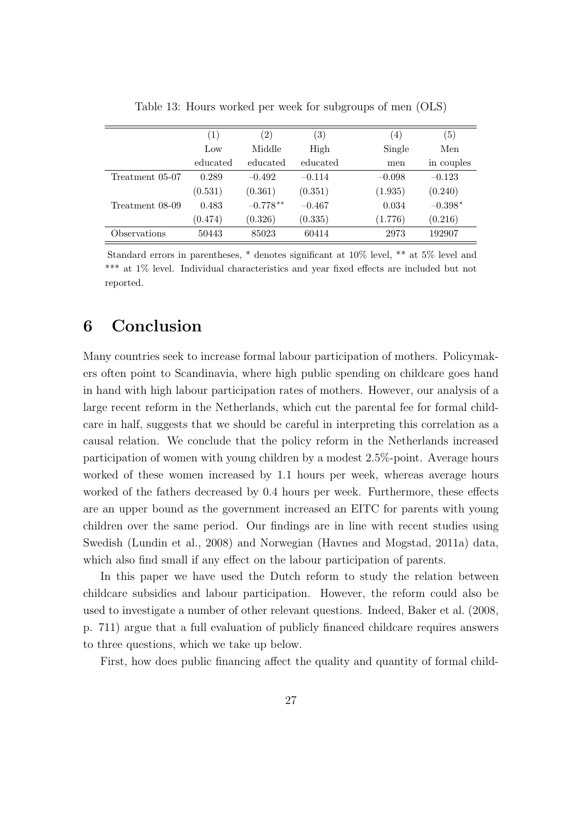|                 | (1)      | $\left( 2\right)$ | $\left( 3\right)$ | (4)      | $\left( 5\right)$ |
|-----------------|----------|-------------------|-------------------|----------|-------------------|
|                 | Low      | Middle            | High              | Single   | Men               |
|                 | educated | educated          | educated          | men      | in couples        |
| Treatment 05-07 | 0.289    | $-0.492$          | $-0.114$          | $-0.098$ | $-0.123$          |
|                 | (0.531)  | (0.361)           | (0.351)           | (1.935)  | (0.240)           |
| Treatment 08-09 | 0.483    | $-0.778**$        | $-0.467$          | 0.034    | $-0.398*$         |
|                 | (0.474)  | (0.326)           | (0.335)           | (1.776)  | (0.216)           |
| Observations    | 50443    | 85023             | 60414             | 2973     | 192907            |

Table 13: Hours worked per week for subgroups of men (OLS)

Standard errors in parentheses, \* denotes significant at 10% level, \*\* at 5% level and \*\*\* at 1% level. Individual characteristics and year fixed effects are included but not reported.

# 6 Conclusion

Many countries seek to increase formal labour participation of mothers. Policymakers often point to Scandinavia, where high public spending on childcare goes hand in hand with high labour participation rates of mothers. However, our analysis of a large recent reform in the Netherlands, which cut the parental fee for formal childcare in half, suggests that we should be careful in interpreting this correlation as a causal relation. We conclude that the policy reform in the Netherlands increased participation of women with young children by a modest 2.5%-point. Average hours worked of these women increased by 1.1 hours per week, whereas average hours worked of the fathers decreased by 0.4 hours per week. Furthermore, these effects are an upper bound as the government increased an EITC for parents with young children over the same period. Our findings are in line with recent studies using Swedish (Lundin et al., 2008) and Norwegian (Havnes and Mogstad, 2011a) data, which also find small if any effect on the labour participation of parents.

In this paper we have used the Dutch reform to study the relation between childcare subsidies and labour participation. However, the reform could also be used to investigate a number of other relevant questions. Indeed, Baker et al. (2008, p. 711) argue that a full evaluation of publicly financed childcare requires answers to three questions, which we take up below.

First, how does public financing affect the quality and quantity of formal child-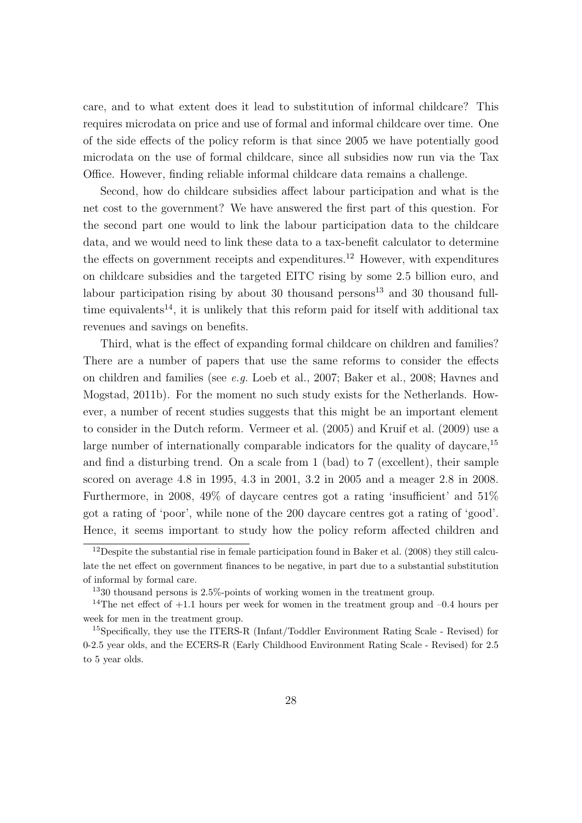care, and to what extent does it lead to substitution of informal childcare? This requires microdata on price and use of formal and informal childcare over time. One of the side effects of the policy reform is that since 2005 we have potentially good microdata on the use of formal childcare, since all subsidies now run via the Tax Office. However, finding reliable informal childcare data remains a challenge.

Second, how do childcare subsidies affect labour participation and what is the net cost to the government? We have answered the first part of this question. For the second part one would to link the labour participation data to the childcare data, and we would need to link these data to a tax-benefit calculator to determine the effects on government receipts and expenditures.<sup>12</sup> However, with expenditures on childcare subsidies and the targeted EITC rising by some 2.5 billion euro, and labour participation rising by about 30 thousand persons<sup>13</sup> and 30 thousand fulltime equivalents<sup>14</sup>, it is unlikely that this reform paid for itself with additional tax revenues and savings on benefits.

Third, what is the effect of expanding formal childcare on children and families? There are a number of papers that use the same reforms to consider the effects on children and families (see e.g. Loeb et al., 2007; Baker et al., 2008; Havnes and Mogstad, 2011b). For the moment no such study exists for the Netherlands. However, a number of recent studies suggests that this might be an important element to consider in the Dutch reform. Vermeer et al. (2005) and Kruif et al. (2009) use a large number of internationally comparable indicators for the quality of daycare,<sup>15</sup> and find a disturbing trend. On a scale from 1 (bad) to 7 (excellent), their sample scored on average 4.8 in 1995, 4.3 in 2001, 3.2 in 2005 and a meager 2.8 in 2008. Furthermore, in 2008, 49% of daycare centres got a rating 'insufficient' and 51% got a rating of 'poor', while none of the 200 daycare centres got a rating of 'good'. Hence, it seems important to study how the policy reform affected children and

<sup>&</sup>lt;sup>12</sup>Despite the substantial rise in female participation found in Baker et al. (2008) they still calculate the net effect on government finances to be negative, in part due to a substantial substitution of informal by formal care.

<sup>13</sup>30 thousand persons is 2.5%-points of working women in the treatment group.

<sup>&</sup>lt;sup>14</sup>The net effect of  $+1.1$  hours per week for women in the treatment group and  $-0.4$  hours per week for men in the treatment group.

<sup>&</sup>lt;sup>15</sup>Specifically, they use the ITERS-R (Infant/Toddler Environment Rating Scale - Revised) for 0-2.5 year olds, and the ECERS-R (Early Childhood Environment Rating Scale - Revised) for 2.5 to 5 year olds.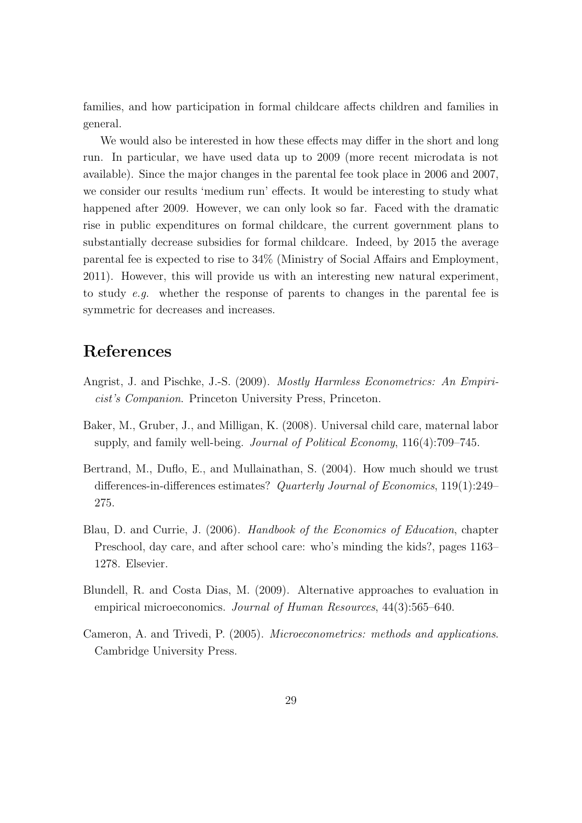families, and how participation in formal childcare affects children and families in general.

We would also be interested in how these effects may differ in the short and long run. In particular, we have used data up to 2009 (more recent microdata is not available). Since the major changes in the parental fee took place in 2006 and 2007, we consider our results 'medium run' effects. It would be interesting to study what happened after 2009. However, we can only look so far. Faced with the dramatic rise in public expenditures on formal childcare, the current government plans to substantially decrease subsidies for formal childcare. Indeed, by 2015 the average parental fee is expected to rise to 34% (Ministry of Social Affairs and Employment, 2011). However, this will provide us with an interesting new natural experiment, to study e.g. whether the response of parents to changes in the parental fee is symmetric for decreases and increases.

# References

- Angrist, J. and Pischke, J.-S. (2009). Mostly Harmless Econometrics: An Empiricist's Companion. Princeton University Press, Princeton.
- Baker, M., Gruber, J., and Milligan, K. (2008). Universal child care, maternal labor supply, and family well-being. Journal of Political Economy, 116(4):709–745.
- Bertrand, M., Duflo, E., and Mullainathan, S. (2004). How much should we trust differences-in-differences estimates? Quarterly Journal of Economics, 119(1):249-275.
- Blau, D. and Currie, J. (2006). Handbook of the Economics of Education, chapter Preschool, day care, and after school care: who's minding the kids?, pages 1163– 1278. Elsevier.
- Blundell, R. and Costa Dias, M. (2009). Alternative approaches to evaluation in empirical microeconomics. Journal of Human Resources, 44(3):565–640.
- Cameron, A. and Trivedi, P. (2005). Microeconometrics: methods and applications. Cambridge University Press.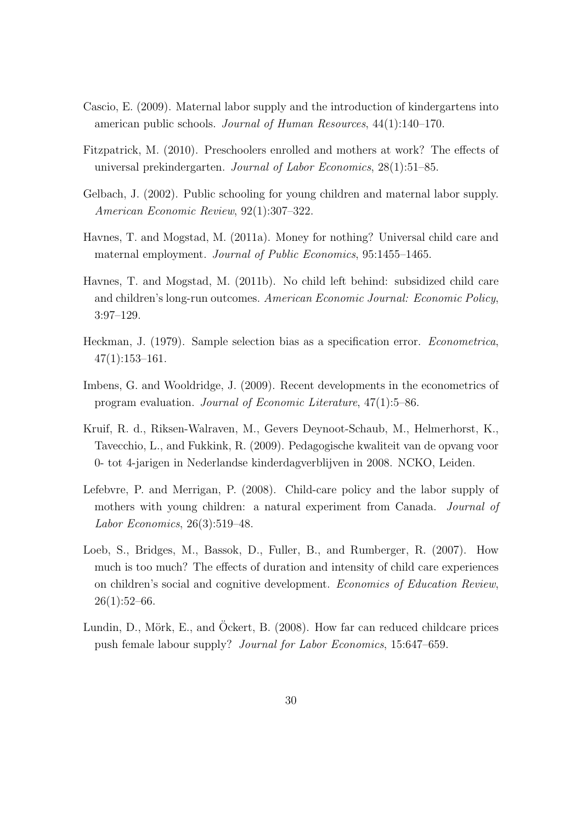- Cascio, E. (2009). Maternal labor supply and the introduction of kindergartens into american public schools. Journal of Human Resources, 44(1):140–170.
- Fitzpatrick, M. (2010). Preschoolers enrolled and mothers at work? The effects of universal prekindergarten. Journal of Labor Economics, 28(1):51–85.
- Gelbach, J. (2002). Public schooling for young children and maternal labor supply. American Economic Review, 92(1):307–322.
- Havnes, T. and Mogstad, M. (2011a). Money for nothing? Universal child care and maternal employment. Journal of Public Economics, 95:1455–1465.
- Havnes, T. and Mogstad, M. (2011b). No child left behind: subsidized child care and children's long-run outcomes. American Economic Journal: Economic Policy, 3:97–129.
- Heckman, J. (1979). Sample selection bias as a specification error. Econometrica, 47(1):153–161.
- Imbens, G. and Wooldridge, J. (2009). Recent developments in the econometrics of program evaluation. Journal of Economic Literature, 47(1):5–86.
- Kruif, R. d., Riksen-Walraven, M., Gevers Deynoot-Schaub, M., Helmerhorst, K., Tavecchio, L., and Fukkink, R. (2009). Pedagogische kwaliteit van de opvang voor 0- tot 4-jarigen in Nederlandse kinderdagverblijven in 2008. NCKO, Leiden.
- Lefebvre, P. and Merrigan, P. (2008). Child-care policy and the labor supply of mothers with young children: a natural experiment from Canada. Journal of Labor Economics, 26(3):519–48.
- Loeb, S., Bridges, M., Bassok, D., Fuller, B., and Rumberger, R. (2007). How much is too much? The effects of duration and intensity of child care experiences on children's social and cognitive development. Economics of Education Review,  $26(1):52-66.$
- Lundin, D., Mörk, E., and Ockert, B. (2008). How far can reduced childcare prices push female labour supply? Journal for Labor Economics, 15:647–659.